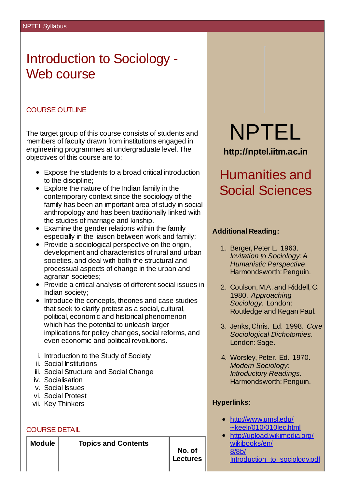## Introduction to Sociology - Web course

### COURSE OUTLINE

The target group of this course consists of students and members of faculty drawn from institutions engaged in engineering programmes at undergraduate level. The objectives of this course are to:

- Expose the students to a broad critical introduction to the discipline;
- Explore the nature of the Indian family in the contemporary context since the sociology of the family has been an important area of study in social anthropology and has been traditionally linked with the studies of marriage and kinship.
- Examine the gender relations within the family especially in the liaison between work and family;
- Provide a sociological perspective on the origin. development and characteristics of rural and urban societies, and deal with both the structural and processual aspects of change in the urban and agrarian societies;
- Provide a critical analysis of different social issues in Indian society;
- Introduce the concepts, theories and case studies that seek to clarify protest as a social, cultural, political, economic and historical phenomenon which has the potential to unleash larger implications for policy changes, social reforms, and even economic and political revolutions.
- i. Introduction to the Study of Society
- ii. Social Institutions
- iii. Social Structure and Social Change
- iv. Socialisation
- v. Social Issues
- vi. Social Protest
- vii. Key Thinkers

### COURSE DETAIL

**Module Topics and Contents**

# NPTEL

**http://nptel.iitm.ac.in**

# Humanities and Social Sciences

### **Additional Reading:**

- 1. Berger, Peter L. 1963. *Invitation to Sociology:A Humanistic Perspective*. Harmondsworth: Penguin.
- 2. Coulson, M.A. and Riddell, C. 1980. *Approaching Sociology*. London: Routledge and Kegan Paul.
- 3. Jenks, Chris. Ed. 1998. *Core Sociological Dichotomies*. London: Sage.
- 4. Worsley, Peter. Ed. 1970. *Modern Sociology: Introductory Readings*. Harmondsworth: Penguin.

### **Hyperlinks:**

- http://www.umsl.edu/ [~keelr/010/010lec.html](http://www.umsl.edu/~keelr/010/010lec.html)
- [http://upload.wikimedia.org/](http://upload.wikimedia.org/wikibooks/en/<br />
8/8b/Introduction_to_sociology.pdf) wikibooks/en/ 8/8b/ Introduction\_to\_sociology.pdf

**No. of Lectures**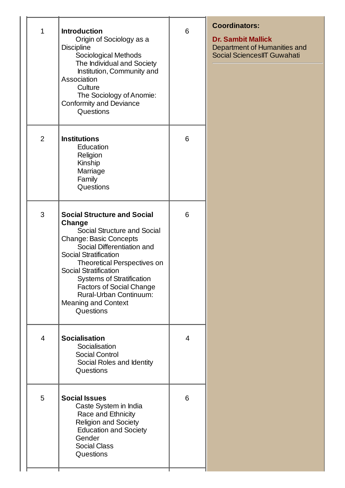| $\mathbf{1}$   | <b>Introduction</b><br>Origin of Sociology as a<br><b>Discipline</b><br>Sociological Methods<br>The Individual and Society<br>Institution, Community and<br>Association<br>Culture<br>The Sociology of Anomie:<br><b>Conformity and Deviance</b><br>Questions                                                                                                                  | 6 | <b>Coordinators:</b><br><b>Dr. Sambit Mallick</b><br>Department of Humanities and<br>Social SciencesIIT Guwahati |
|----------------|--------------------------------------------------------------------------------------------------------------------------------------------------------------------------------------------------------------------------------------------------------------------------------------------------------------------------------------------------------------------------------|---|------------------------------------------------------------------------------------------------------------------|
| $\overline{2}$ | <b>Institutions</b><br>Education<br>Religion<br>Kinship<br>Marriage<br>Family<br>Questions                                                                                                                                                                                                                                                                                     | 6 |                                                                                                                  |
| 3              | <b>Social Structure and Social</b><br>Change<br>Social Structure and Social<br><b>Change: Basic Concepts</b><br>Social Differentiation and<br>Social Stratification<br>Theoretical Perspectives on<br><b>Social Stratification</b><br><b>Systems of Stratification</b><br><b>Factors of Social Change</b><br>Rural-Urban Continuum:<br><b>Meaning and Context</b><br>Questions | 6 |                                                                                                                  |
| 4              | <b>Socialisation</b><br>Socialisation<br><b>Social Control</b><br>Social Roles and Identity<br>Questions                                                                                                                                                                                                                                                                       | 4 |                                                                                                                  |
| 5              | <b>Social Issues</b><br>Caste System in India<br>Race and Ethnicity<br>Religion and Society<br><b>Education and Society</b><br>Gender<br><b>Social Class</b><br>Questions                                                                                                                                                                                                      | 6 |                                                                                                                  |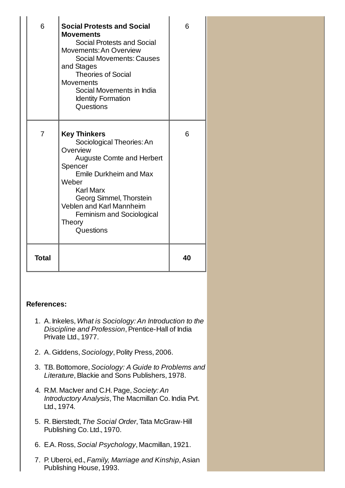| 6            | <b>Social Protests and Social</b><br><b>Movements</b><br>Social Protests and Social<br><b>Movements: An Overview</b><br>Social Movements: Causes<br>and Stages<br><b>Theories of Social</b><br><b>Movements</b><br>Social Movements in India<br><b>Identity Formation</b><br>Questions | 6  |
|--------------|----------------------------------------------------------------------------------------------------------------------------------------------------------------------------------------------------------------------------------------------------------------------------------------|----|
| 7            | <b>Key Thinkers</b><br>Sociological Theories: An<br>Overview<br><b>Auguste Comte and Herbert</b><br>Spencer<br>Emile Durkheim and Max<br>Weber<br><b>Karl Marx</b><br>Georg Simmel, Thorstein<br><b>Veblen and Karl Mannheim</b><br>Feminism and Sociological<br>Theory<br>Questions   | 6  |
| <b>Total</b> |                                                                                                                                                                                                                                                                                        | 40 |

### **References:**

 $\mathbf{I}$ 

 $\mathbf{I}$ 

- 1. A. Inkeles, *What is Sociology:An Introduction to the Discipline and Profession*, Prentice-Hall of India Private Ltd., 1977.
- 2. A. Giddens,*Sociology*,Polity Press, 2006.
- 3. T.B.Bottomore,*Sociology: A Guide to Problems and Literature*,Blackie and Sons Publishers, 1978.
- 4. R.M. MacIver and C.H.Page,*Society:An Introductory Analysis*, The Macmillan Co. India Pvt. Ltd., 1974.
- 5. R.Bierstedt, *The Social Order*, Tata McGraw-Hill Publishing Co. Ltd., 1970.
- 6. E.A. Ross,*Social Psychology*, Macmillan, 1921.
- 7. P. Uberoi, ed., *Family, Marriage and Kinship*,Asian Publishing House, 1993.